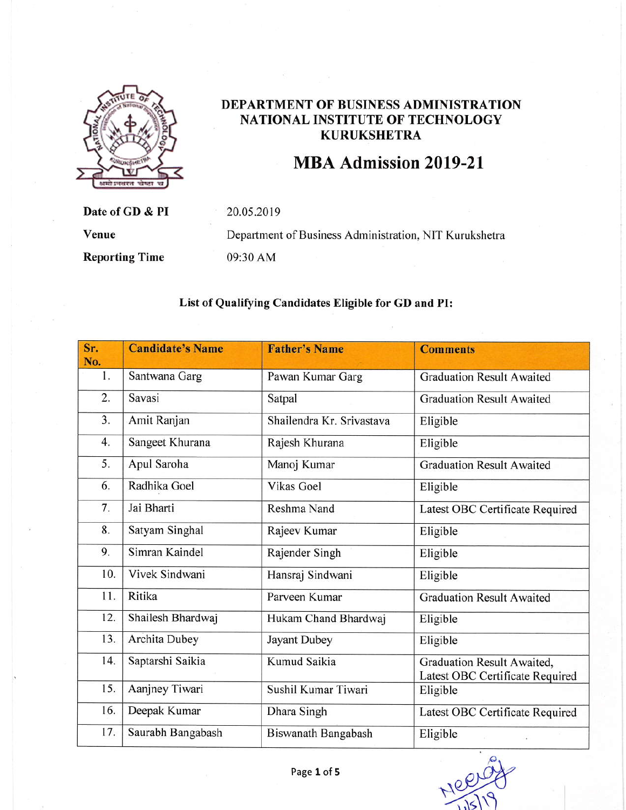

Date of GD & PI

**Reporting Time** 

## DEPARTMENT OF BUSINESS ADMINISTRATION NATIONAL INSTITUTE OF TECHNOLOGY **KURUKSHETRA**

## MBA Admission 2019-21

20.05.2019

Venue

Department of Business Administration, NIT Kurukshetra 09:30 AM

## List of Qualifying Candidates Eligible for GD and PI:

| Sr.<br>No. | <b>Candidate's Name</b> | <b>Father's Name</b>      | <b>Comments</b>                                               |
|------------|-------------------------|---------------------------|---------------------------------------------------------------|
| 1.         | Santwana Garg           | Pawan Kumar Garg          | <b>Graduation Result Awaited</b>                              |
| 2.         | Savasi                  | Satpal                    | <b>Graduation Result Awaited</b>                              |
| 3.         | Amit Ranjan             | Shailendra Kr. Srivastava | Eligible                                                      |
| 4.         | Sangeet Khurana         | Rajesh Khurana            | Eligible                                                      |
| 5.         | Apul Saroha             | Manoj Kumar               | <b>Graduation Result Awaited</b>                              |
| 6.         | Radhika Goel            | <b>Vikas Goel</b>         | Eligible                                                      |
| 7.         | Jai Bharti              | Reshma Nand               | Latest OBC Certificate Required                               |
| 8.         | Satyam Singhal          | Rajeev Kumar              | Eligible                                                      |
| 9.         | Simran Kaindel          | Rajender Singh            | Eligible                                                      |
| 10.        | Vivek Sindwani          | Hansraj Sindwani          | Eligible                                                      |
| 11.        | Ritika                  | Parveen Kumar             | <b>Graduation Result Awaited</b>                              |
| 12.        | Shailesh Bhardwaj       | Hukam Chand Bhardwaj      | Eligible                                                      |
| 13.        | Archita Dubey           | Jayant Dubey              | Eligible                                                      |
| 14.        | Saptarshi Saikia        | Kumud Saikia              | Graduation Result Awaited,<br>Latest OBC Certificate Required |
| 15.        | Aanjney Tiwari          | Sushil Kumar Tiwari       | Eligible                                                      |
| 16.        | Deepak Kumar            | Dhara Singh               | Latest OBC Certificate Required                               |
| 17.        | Saurabh Bangabash       | Biswanath Bangabash       | Eligible                                                      |

Mee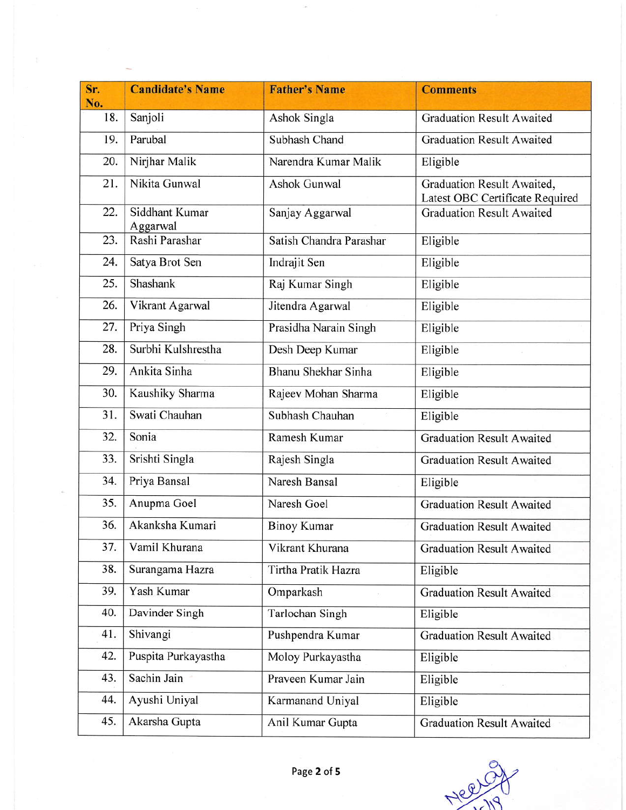| Sr.<br>No. | <b>Candidate's Name</b>    | <b>Father's Name</b>    | <b>Comments</b>                                               |
|------------|----------------------------|-------------------------|---------------------------------------------------------------|
| 18.        | Sanjoli                    | Ashok Singla            | <b>Graduation Result Awaited</b>                              |
| 19.        | Parubal                    | Subhash Chand           | <b>Graduation Result Awaited</b>                              |
| 20.        | Nirjhar Malik              | Narendra Kumar Malik    | Eligible                                                      |
| 21.        | Nikita Gunwal              | Ashok Gunwal            | Graduation Result Awaited,<br>Latest OBC Certificate Required |
| 22.        | Siddhant Kumar<br>Aggarwal | Sanjay Aggarwal         | <b>Graduation Result Awaited</b>                              |
| 23.        | Rashi Parashar             | Satish Chandra Parashar | Eligible                                                      |
| 24.        | Satya Brot Sen             | Indrajit Sen            | Eligible                                                      |
| 25.        | Shashank                   | Raj Kumar Singh         | Eligible                                                      |
| 26.        | Vikrant Agarwal            | Jitendra Agarwal        | Eligible                                                      |
| 27.        | Priya Singh                | Prasidha Narain Singh   | Eligible                                                      |
| 28.        | Surbhi Kulshrestha         | Desh Deep Kumar         | Eligible                                                      |
| 29.        | Ankita Sinha               | Bhanu Shekhar Sinha     | Eligible                                                      |
| 30.        | Kaushiky Sharma            | Rajeev Mohan Sharma     | Eligible                                                      |
| 31.        | Swati Chauhan              | Subhash Chauhan         | Eligible                                                      |
| 32.        | Sonia                      | Ramesh Kumar            | <b>Graduation Result Awaited</b>                              |
| 33.        | Srishti Singla             | Rajesh Singla           | <b>Graduation Result Awaited</b>                              |
| 34.        | Priya Bansal               | Naresh Bansal           | Eligible                                                      |
| 35.        | Anupma Goel                | Naresh Goel             | <b>Graduation Result Awaited</b>                              |
| 36.        | Akanksha Kumari            | <b>Binoy Kumar</b>      | <b>Graduation Result Awaited</b>                              |
| 37.        | Vamil Khurana              | Vikrant Khurana         | <b>Graduation Result Awaited</b>                              |
| 38.        | Surangama Hazra            | Tirtha Pratik Hazra     | Eligible                                                      |
| 39.        | Yash Kumar                 | Omparkash               | <b>Graduation Result Awaited</b>                              |
| 40.        | Davinder Singh             | Tarlochan Singh         | Eligible                                                      |
| 41.        | Shivangi                   | Pushpendra Kumar        | <b>Graduation Result Awaited</b>                              |
| 42.        | Puspita Purkayastha        | Moloy Purkayastha       | Eligible                                                      |
| 43.        | Sachin Jain                | Praveen Kumar Jain      | Eligible                                                      |
| 44.        | Ayushi Uniyal              | Karmanand Uniyal        | Eligible                                                      |
| 45.        | Akarsha Gupta              | Anil Kumar Gupta        | <b>Graduation Result Awaited</b>                              |

Nee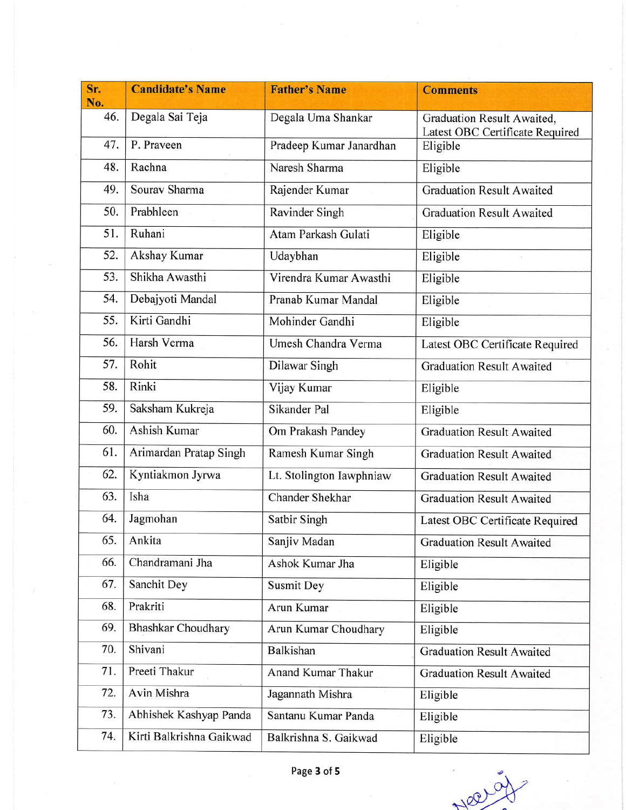| Sr.<br>No. | <b>Candidate's Name</b>   | <b>Father's Name</b>     | <b>Comments</b>                                               |
|------------|---------------------------|--------------------------|---------------------------------------------------------------|
| 46.        | Degala Sai Teja           | Degala Uma Shankar       | Graduation Result Awaited,<br>Latest OBC Certificate Required |
| 47.        | P. Praveen                | Pradeep Kumar Janardhan  | Eligible                                                      |
| 48.        | Rachna                    | Naresh Sharma            | Eligible                                                      |
| 49.        | Sourav Sharma             | Rajender Kumar           | <b>Graduation Result Awaited</b>                              |
| 50.        | Prabhleen                 | Ravinder Singh           | <b>Graduation Result Awaited</b>                              |
| 51.        | Ruhani                    | Atam Parkash Gulati      | Eligible                                                      |
| 52.        | Akshay Kumar              | Udaybhan                 | Eligible                                                      |
| 53.        | Shikha Awasthi            | Virendra Kumar Awasthi   | Eligible                                                      |
| 54.        | Debajyoti Mandal          | Pranab Kumar Mandal      | Eligible                                                      |
| 55.        | Kirti Gandhi              | Mohinder Gandhi          | Eligible                                                      |
| 56.        | Harsh Verma               | Umesh Chandra Verma      | Latest OBC Certificate Required                               |
| 57.        | Rohit                     | Dilawar Singh            | <b>Graduation Result Awaited</b>                              |
| 58.        | Rinki                     | Vijay Kumar              | Eligible                                                      |
| 59.        | Saksham Kukreja           | Sikander Pal             | Eligible                                                      |
| 60.        | Ashish Kumar              | Om Prakash Pandey        | <b>Graduation Result Awaited</b>                              |
| 61.        | Arimardan Pratap Singh    | Ramesh Kumar Singh       | <b>Graduation Result Awaited</b>                              |
| 62.        | Kyntiakmon Jyrwa          | Lt. Stolington Iawphniaw | <b>Graduation Result Awaited</b>                              |
| 63.        | Isha                      | Chander Shekhar          | <b>Graduation Result Awaited</b>                              |
| 64.        | Jagmohan                  | Satbir Singh             | Latest OBC Certificate Required                               |
| 65.        | Ankita                    | Sanjiv Madan             | <b>Graduation Result Awaited</b>                              |
| 66.        | Chandramani Jha           | Ashok Kumar Jha          | Eligible                                                      |
| 67.        | Sanchit Dey               | Susmit Dey               | Eligible                                                      |
| 68.        | Prakriti                  | Arun Kumar               | Eligible                                                      |
| 69.        | <b>Bhashkar Choudhary</b> | Arun Kumar Choudhary     | Eligible                                                      |
| 70.        | Shivani                   | Balkishan                | <b>Graduation Result Awaited</b>                              |
| 71.        | Preeti Thakur             | Anand Kumar Thakur       | <b>Graduation Result Awaited</b>                              |
| 72.        | Avin Mishra               | Jagannath Mishra         | Eligible                                                      |
| 73.        | Abhishek Kashyap Panda    | Santanu Kumar Panda      | Eligible                                                      |
| 74.        | Kirti Balkrishna Gaikwad  | Balkrishna S. Gaikwad    | Eligible                                                      |

Neer 97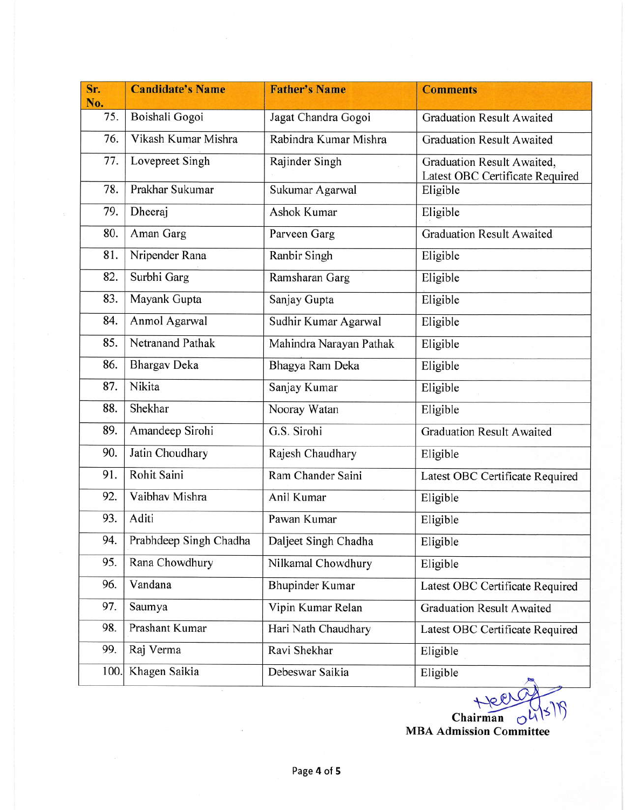| Sr.<br>No. | <b>Candidate's Name</b> | <b>Father's Name</b>    | <b>Comments</b>                                               |
|------------|-------------------------|-------------------------|---------------------------------------------------------------|
| 75.        | Boishali Gogoi          | Jagat Chandra Gogoi     | <b>Graduation Result Awaited</b>                              |
| 76.        | Vikash Kumar Mishra     | Rabindra Kumar Mishra   | <b>Graduation Result Awaited</b>                              |
| 77.        | Lovepreet Singh         | Rajinder Singh          | Graduation Result Awaited,<br>Latest OBC Certificate Required |
| 78.        | Prakhar Sukumar         | Sukumar Agarwal         | Eligible                                                      |
| 79.        | Dheeraj                 | Ashok Kumar             | Eligible                                                      |
| 80.        | Aman Garg               | Parveen Garg            | <b>Graduation Result Awaited</b>                              |
| 81.        | Nripender Rana          | Ranbir Singh            | Eligible                                                      |
| 82.        | Surbhi Garg             | Ramsharan Garg          | Eligible                                                      |
| 83.        | Mayank Gupta            | Sanjay Gupta            | Eligible                                                      |
| 84.        | Anmol Agarwal           | Sudhir Kumar Agarwal    | Eligible                                                      |
| 85.        | <b>Netranand Pathak</b> | Mahindra Narayan Pathak | Eligible                                                      |
| 86.        | <b>Bhargav Deka</b>     | Bhagya Ram Deka         | Eligible                                                      |
| 87.        | Nikita                  | Sanjay Kumar            | Eligible                                                      |
| 88.        | Shekhar                 | Nooray Watan            | Eligible                                                      |
| 89.        | Amandeep Sirohi         | G.S. Sirohi             | <b>Graduation Result Awaited</b>                              |
| 90.        | Jatin Choudhary         | Rajesh Chaudhary        | Eligible                                                      |
| 91.        | Rohit Saini             | Ram Chander Saini       | Latest OBC Certificate Required                               |
| 92.        | Vaibhav Mishra          | Anil Kumar              | Eligible                                                      |
| 93.        | Aditi                   | Pawan Kumar             | Eligible                                                      |
| 94.        | Prabhdeep Singh Chadha  | Daljeet Singh Chadha    | Eligible                                                      |
| 95.        | Rana Chowdhury          | Nilkamal Chowdhury      | Eligible                                                      |
| 96.        | Vandana                 | <b>Bhupinder Kumar</b>  | Latest OBC Certificate Required                               |
| 97.        | Saumya                  | Vipin Kumar Relan       | <b>Graduation Result Awaited</b>                              |
| 98.        | Prashant Kumar          | Hari Nath Chaudhary     | Latest OBC Certificate Required                               |
| 99.        | Raj Verma               | Ravi Shekhar            | Eligible                                                      |
| 100.       | Khagen Saikia           | Debeswar Saikia         | Eligible<br>$\mathbb{R}$                                      |

 $Chairman$   $\frac{1}{5}$  ord $\frac{1}{5}$  ord $\frac{1}{5}$ MBA Admission Committee